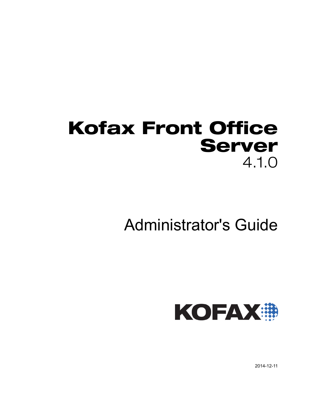# Kofax Front Office Server 4.1.0

# Administrator's Guide



2014-12-11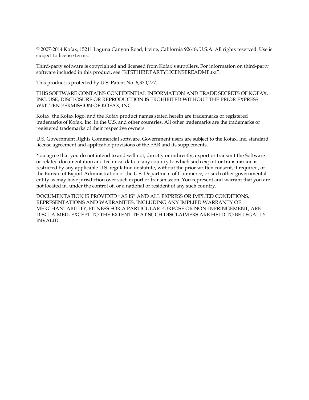© 2007-2014 Kofax, 15211 Laguna Canyon Road, Irvine, California 92618, U.S.A. All rights reserved. Use is subject to license terms.

Third-party software is copyrighted and licensed from Kofax's suppliers. For information on third-party software included in this product, see "KFSTHIRDPARTYLICENSEREADME.txt".

This product is protected by U.S. Patent No. 6,370,277.

THIS SOFTWARE CONTAINS CONFIDENTIAL INFORMATION AND TRADE SECRETS OF KOFAX, INC. USE, DISCLOSURE OR REPRODUCTION IS PROHIBITED WITHOUT THE PRIOR EXPRESS WRITTEN PERMISSION OF KOFAX, INC.

Kofax, the Kofax logo, and the Kofax product names stated herein are trademarks or registered trademarks of Kofax, Inc. in the U.S. and other countries. All other trademarks are the trademarks or registered trademarks of their respective owners.

U.S. Government Rights Commercial software. Government users are subject to the Kofax, Inc. standard license agreement and applicable provisions of the FAR and its supplements.

You agree that you do not intend to and will not, directly or indirectly, export or transmit the Software or related documentation and technical data to any country to which such export or transmission is restricted by any applicable U.S. regulation or statute, without the prior written consent, if required, of the Bureau of Export Administration of the U.S. Department of Commerce, or such other governmental entity as may have jurisdiction over such export or transmission. You represent and warrant that you are not located in, under the control of, or a national or resident of any such country.

DOCUMENTATION IS PROVIDED "AS IS" AND ALL EXPRESS OR IMPLIED CONDITIONS, REPRESENTATIONS AND WARRANTIES, INCLUDING ANY IMPLIED WARRANTY OF MERCHANTABILITY, FITNESS FOR A PARTICULAR PURPOSE OR NON-INFRINGEMENT, ARE DISCLAIMED, EXCEPT TO THE EXTENT THAT SUCH DISCLAIMERS ARE HELD TO BE LEGALLY INVALID.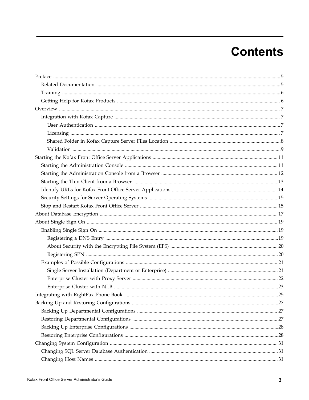# **Contents**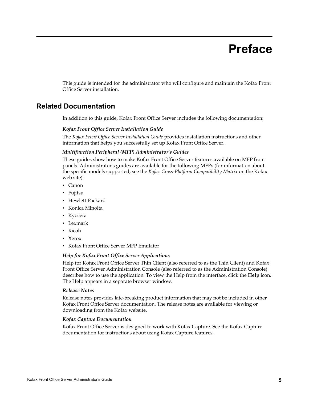# <span id="page-4-0"></span>**Preface**

This guide is intended for the administrator who will configure and maintain the Kofax Front Office Server installation.

## <span id="page-4-2"></span><span id="page-4-1"></span>**Related Documentation**

In addition to this guide, Kofax Front Office Server includes the following documentation:

#### *Kofax Front Office Server Installation Guide*

The *Kofax Front Office Server Installation Guide* provides installation instructions and other information that helps you successfully set up Kofax Front Office Server.

#### *Multifunction Peripheral (MFP) Administrator's Guides*

These guides show how to make Kofax Front Office Server features available on MFP front panels. Administrator's guides are available for the following MFPs (for information about the specific models supported, see the *Kofax Cross-Platform Compatibility Matrix* on the Kofax web site):

- Canon
- Fujitsu
- Hewlett Packard
- Konica Minolta
- Kyocera
- Lexmark
- Ricoh
- Xerox
- Kofax Front Office Server MFP Emulator

#### *Help for Kofax Front Office Server Applications*

Help for Kofax Front Office Server Thin Client (also referred to as the Thin Client) and Kofax Front Office Server Administration Console (also referred to as the Administration Console) describes how to use the application. To view the Help from the interface, click the **Help** icon. The Help appears in a separate browser window.

#### *Release Notes*

Release notes provides late-breaking product information that may not be included in other Kofax Front Office Server documentation. The release notes are available for viewing or downloading from the Kofax website.

#### *Kofax Capture Documentation*

Kofax Front Office Server is designed to work with Kofax Capture. See the Kofax Capture documentation for instructions about using Kofax Capture features.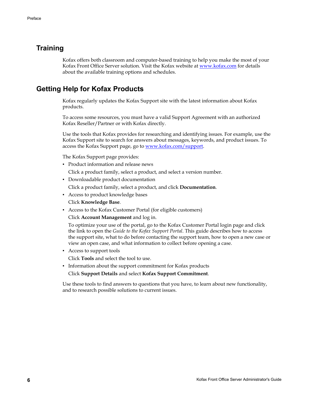# <span id="page-5-3"></span><span id="page-5-0"></span>**Training**

Kofax offers both classroom and computer-based training to help you make the most of your Kofax Front Office Server solution. Visit the Kofax website at [www.kofax.com](http://www.kofax.com) for details about the available training options and schedules.

# <span id="page-5-2"></span><span id="page-5-1"></span>**Getting Help for Kofax Products**

Kofax regularly updates the Kofax Support site with the latest information about Kofax products.

To access some resources, you must have a valid Support Agreement with an authorized Kofax Reseller/Partner or with Kofax directly.

Use the tools that Kofax provides for researching and identifying issues. For example, use the Kofax Support site to search for answers about messages, keywords, and product issues. To access the Kofax Support page, go to [www.kofax.com/support](http://www.kofax.com/support).

The Kofax Support page provides:

- Product information and release news Click a product family, select a product, and select a version number.
- Downloadable product documentation

Click a product family, select a product, and click **Documentation**.

▪ Access to product knowledge bases

Click **Knowledge Base**.

▪ Access to the Kofax Customer Portal (for eligible customers)

Click **Account Management** and log in.

To optimize your use of the portal, go to the Kofax Customer Portal login page and click the link to open the *Guide to the Kofax Support Portal*. This guide describes how to access the support site, what to do before contacting the support team, how to open a new case or view an open case, and what information to collect before opening a case.

▪ Access to support tools

Click **Tools** and select the tool to use.

▪ Information about the support commitment for Kofax products Click **Support Details** and select **Kofax Support Commitment**.

Use these tools to find answers to questions that you have, to learn about new functionality, and to research possible solutions to current issues.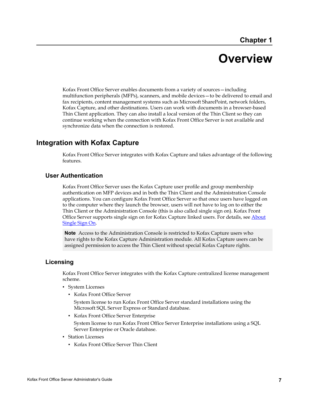# **Overview**

<span id="page-6-0"></span>Kofax Front Office Server enables documents from a variety of sources—including multifunction peripherals (MFPs), scanners, and mobile devices—to be delivered to email and fax recipients, content management systems such as Microsoft SharePoint, network folders, Kofax Capture, and other destinations. Users can work with documents in a browser-based Thin Client application. They can also install a local version of the Thin Client so they can continue working when the connection with Kofax Front Office Server is not available and synchronize data when the connection is restored.

## <span id="page-6-4"></span><span id="page-6-1"></span>**Integration with Kofax Capture**

Kofax Front Office Server integrates with Kofax Capture and takes advantage of the following features.

#### <span id="page-6-2"></span>**User Authentication**

Kofax Front Office Server uses the Kofax Capture user profile and group membership authentication on MFP devices and in both the Thin Client and the Administration Console applications. You can configure Kofax Front Office Server so that once users have logged on to the computer where they launch the browser, users will not have to log on to either the Thin Client or the Administration Console (this is also called single sign on). Kofax Front Office Server supports single sign on for Kofax Capture linked users. For details, see [About](#page-18-0) [Single Sign On](#page-18-0).

**Note** Access to the Administration Console is restricted to Kofax Capture users who have rights to the Kofax Capture Administration module. All Kofax Capture users can be assigned permission to access the Thin Client without special Kofax Capture rights.

#### <span id="page-6-3"></span>**Licensing**

Kofax Front Office Server integrates with the Kofax Capture centralized license management scheme.

- System Licenses
	- Kofax Front Office Server

System license to run Kofax Front Office Server standard installations using the Microsoft SQL Server Express or Standard database.

▪ Kofax Front Office Server Enterprise

System license to run Kofax Front Office Server Enterprise installations using a SQL Server Enterprise or Oracle database.

- Station Licenses
	- Kofax Front Office Server Thin Client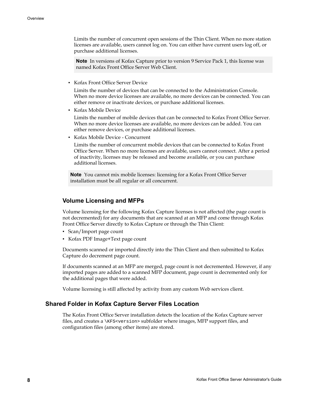Limits the number of concurrent open sessions of the Thin Client. When no more station licenses are available, users cannot log on. You can either have current users log off, or purchase additional licenses.

**Note** In versions of Kofax Capture prior to version 9 Service Pack 1, this license was named Kofax Front Office Server Web Client.

▪ Kofax Front Office Server Device

Limits the number of devices that can be connected to the Administration Console. When no more device licenses are available, no more devices can be connected. You can either remove or inactivate devices, or purchase additional licenses.

▪ Kofax Mobile Device

Limits the number of mobile devices that can be connected to Kofax Front Office Server. When no more device licenses are available, no more devices can be added. You can either remove devices, or purchase additional licenses.

▪ Kofax Mobile Device - Concurrent

Limits the number of concurrent mobile devices that can be connected to Kofax Front Office Server. When no more licenses are available, users cannot connect. After a period of inactivity, licenses may be released and become available, or you can purchase additional licenses.

**Note** You cannot mix mobile licenses: licensing for a Kofax Front Office Server installation must be all regular or all concurrent.

#### **Volume Licensing and MFPs**

Volume licensing for the following Kofax Capture licenses is not affected (the page count is not decremented) for any documents that are scanned at an MFP and come through Kofax Front Office Server directly to Kofax Capture or through the Thin Client:

- Scan/Import page count
- Kofax PDF Image+Text page count

Documents scanned or imported directly into the Thin Client and then submitted to Kofax Capture do decrement page count.

If documents scanned at an MFP are merged, page count is not decremented. However, if any imported pages are added to a scanned MFP document, page count is decremented only for the additional pages that were added.

Volume licensing is still affected by activity from any custom Web services client.

#### <span id="page-7-0"></span>**Shared Folder in Kofax Capture Server Files Location**

The Kofax Front Office Server installation detects the location of the Kofax Capture server files, and creates a \KFS<version> subfolder where images, MFP support files, and configuration files (among other items) are stored.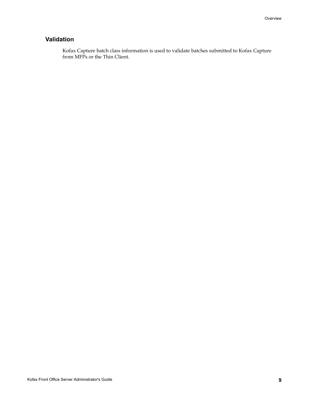### <span id="page-8-0"></span>**Validation**

Kofax Capture batch class information is used to validate batches submitted to Kofax Capture from MFPs or the Thin Client.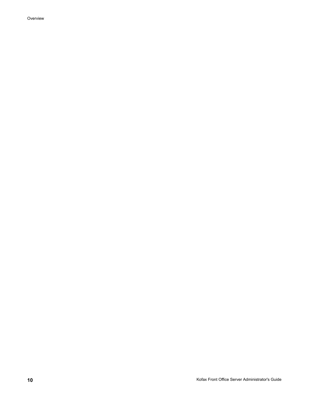Overview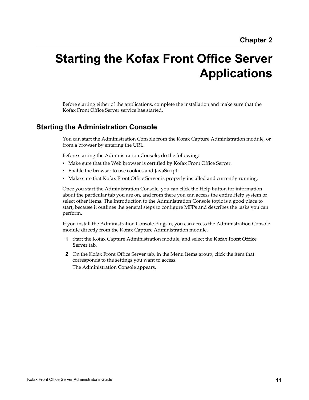# <span id="page-10-0"></span>**Starting the Kofax Front Office Server Applications**

Before starting either of the applications, complete the installation and make sure that the Kofax Front Office Server service has started.

## <span id="page-10-2"></span><span id="page-10-1"></span>**Starting the Administration Console**

You can start the Administration Console from the Kofax Capture Administration module, or from a browser by entering the URL.

Before starting the Administration Console, do the following:

- Make sure that the Web browser is certified by Kofax Front Office Server.
- Enable the browser to use cookies and JavaScript.
- Make sure that Kofax Front Office Server is properly installed and currently running.

Once you start the Administration Console, you can click the Help button for information about the particular tab you are on, and from there you can access the entire Help system or select other items. The Introduction to the Administration Console topic is a good place to start, because it outlines the general steps to configure MFPs and describes the tasks you can perform.

If you install the Administration Console Plug-In, you can access the Administration Console module directly from the Kofax Capture Administration module.

- **1** Start the Kofax Capture Administration module, and select the **Kofax Front Office Server** tab.
- **2** On the Kofax Front Office Server tab, in the Menu Items group, click the item that corresponds to the settings you want to access. The Administration Console appears.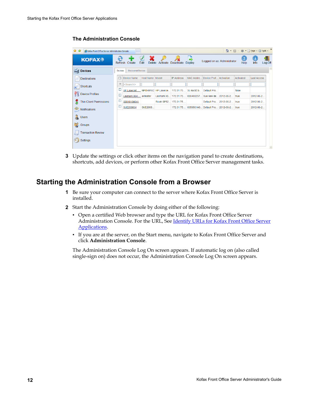#### **The Administration Console**

| ✿<br>47<br>Kofax Front Office Server Administration Console |                                             |                                  |                                           |                                                | $\gg$<br><b>● 同 ● Page + @ Tools +</b>            |
|-------------------------------------------------------------|---------------------------------------------|----------------------------------|-------------------------------------------|------------------------------------------------|---------------------------------------------------|
| <b>KOFAX<sup>III</sup></b>                                  | Create<br>Edit<br>Refresh                   | Activate<br><b>Delete</b>        | Deactivate<br>Deploy                      | Logged on as: Administrator                    | G<br>$\left( 7\right)$<br>Info<br>Help<br>Log Off |
| <b>Devices</b>                                              | <b>Discovered Devices</b><br><b>Devices</b> |                                  |                                           |                                                | $\curvearrowright$                                |
| <b>Destinations</b>                                         | Device Name<br>□                            | <b>Host Name</b><br>Model        | <b>IP Address</b><br><b>MAC Addre.</b>    | Device Prof.<br>Activation                     | <b>Last Access</b><br>Activated                   |
| <b>Shortcuts</b><br>Ħ.                                      | $\oslash$<br><search></search>              |                                  |                                           |                                                |                                                   |
| ЧX<br><b>Device Profiles</b>                                | □<br>HP LaserJet                            |                                  | NPIB4916C HP LaserJe 172.31.75 3c:4a:92:b | Default Pro                                    | false                                             |
| <b>Thin Client Permissions</b>                              | ш<br>Lexmark X64<br>L<br>S9019100041        | anteater<br>Ricoh SP52 172.31.75 | Lexmark X6 172.31.75 000400257            | Sue new de 2012-06-2<br>Default Pro 2012-06-2  | 2012-06-2<br>true<br>2012-06-2<br>true            |
| <b>Notifications</b>                                        | □<br>SUE200864                              | SUE2008                          |                                           | 172.31.75 0050561A0 Default Pro 2012-06-2 true | 2012-06-2                                         |
|                                                             |                                             |                                  |                                           |                                                |                                                   |
| <b>Users</b>                                                |                                             |                                  |                                           |                                                |                                                   |
| 97<br>Groups                                                |                                             |                                  |                                           |                                                |                                                   |
| <b>Transaction Review</b>                                   |                                             |                                  |                                           |                                                |                                                   |
| Settings                                                    |                                             |                                  |                                           |                                                |                                                   |
|                                                             |                                             |                                  |                                           |                                                |                                                   |

**3** Update the settings or click other items on the navigation panel to create destinations, shortcuts, add devices, or perform other Kofax Front Office Server management tasks.

## <span id="page-11-0"></span>**Starting the Administration Console from a Browser**

- **1** Be sure your computer can connect to the server where Kofax Front Office Server is installed.
- **2** Start the Administration Console by doing either of the following:
	- Open a certified Web browser and type the URL for Kofax Front Office Server Administration Console. For the URL, See [Identify URLs for Kofax Front Office Server](#page-13-0) [Applications.](#page-13-0)
	- If you are at the server, on the Start menu, navigate to Kofax Front Office Server and click **Administration Console**.

The Administration Console Log On screen appears. If automatic log on (also called single-sign on) does not occur, the Administration Console Log On screen appears.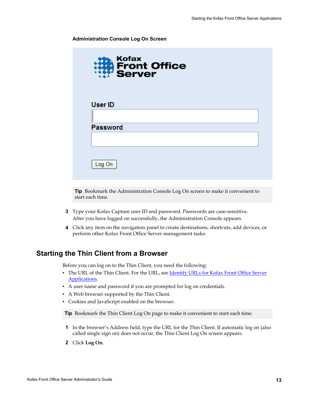#### **Administration Console Log On Screen**

| Kofax<br><b>Pront Office</b> |  |  |
|------------------------------|--|--|
| <b>User ID</b>               |  |  |
| <b>Password</b>              |  |  |
|                              |  |  |
| Log On                       |  |  |

**Tip** Bookmark the Administration Console Log On screen to make it convenient to start each time.

- **3** Type your Kofax Capture user ID and password. Passwords are case-sensitive. After you have logged on successfully, the Administration Console appears.
- **4** Click any item on the navigation panel to create destinations, shortcuts, add devices, or perform other Kofax Front Office Server management tasks.

## <span id="page-12-1"></span><span id="page-12-0"></span>**Starting the Thin Client from a Browser**

Before you can log on to the Thin Client, you need the following:

- The URL of the Thin Client. For the URL, see [Identify URLs for Kofax Front Office Server](#page-13-0) [Applications](#page-13-0).
- A user name and password if you are prompted for log on credentials.
- A Web browser supported by the Thin Client.
- Cookies and JavaScript enabled on the browser.

**Tip** Bookmark the Thin Client Log On page to make it convenient to start each time.

- **1** In the browser's Address field, type the URL for the Thin Client. If automatic log on (also called single sign on) does not occur, the Thin Client Log On screen appears.
- **2** Click **Log On**.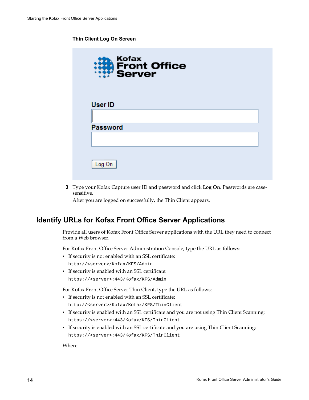#### **Thin Client Log On Screen**

| Kofax<br>Front Office |  |
|-----------------------|--|
| User ID               |  |
| <b>Password</b>       |  |
| Log On                |  |

**3** Type your Kofax Capture user ID and password and click **Log On**. Passwords are casesensitive.

After you are logged on successfully, the Thin Client appears.

## <span id="page-13-1"></span><span id="page-13-0"></span>**Identify URLs for Kofax Front Office Server Applications**

Provide all users of Kofax Front Office Server applications with the URL they need to connect from a Web browser.

For Kofax Front Office Server Administration Console, type the URL as follows:

▪ If security is not enabled with an SSL certificate:

http://<server>/Kofax/KFS/Admin

▪ If security is enabled with an SSL certificate: https://<server>:443/Kofax/KFS/Admin

For Kofax Front Office Server Thin Client, type the URL as follows:

- If security is not enabled with an SSL certificate: http://<server>/Kofax/Kofax/KFS/ThinClient
- If security is enabled with an SSL certificate and you are not using Thin Client Scanning: https://<server>:443/Kofax/KFS/ThinClient
- If security is enabled with an SSL certificate and you are using Thin Client Scanning: https://<server>:443/Kofax/KFS/ThinClient

#### Where: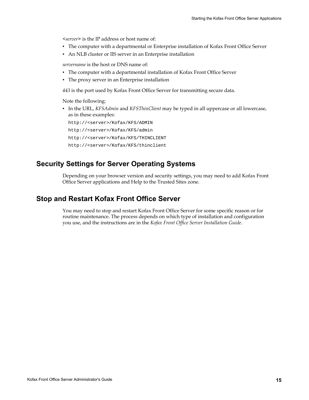*<server>* is the IP address or host name of:

- The computer with a departmental or Enterprise installation of Kofax Front Office Server
- An NLB cluster or IIS server in an Enterprise installation

*servername* is the host or DNS name of:

- The computer with a departmental installation of Kofax Front Office Server
- The proxy server in an Enterprise installation

*443* is the port used by Kofax Front Office Server for transmitting secure data.

Note the following:

▪ In the URL, *KFSAdmin* and *KFSThinClient* may be typed in all uppercase or all lowercase, as in these examples:

```
http://<server>/Kofax/KFS/ADMIN
http://<server>/Kofax/KFS/admin
http://<server>/Kofax/KFS/THINCLIENT
http://<server>/Kofax/KFS/thinclient
```
## <span id="page-14-2"></span><span id="page-14-0"></span>**Security Settings for Server Operating Systems**

Depending on your browser version and security settings, you may need to add Kofax Front Office Server applications and Help to the Trusted Sites zone.

## <span id="page-14-4"></span><span id="page-14-1"></span>**Stop and Restart Kofax Front Office Server**

<span id="page-14-3"></span>You may need to stop and restart Kofax Front Office Server for some specific reason or for routine maintenance. The process depends on which type of installation and configuration you use, and the instructions are in the *Kofax Front Office Server Installation Guide*.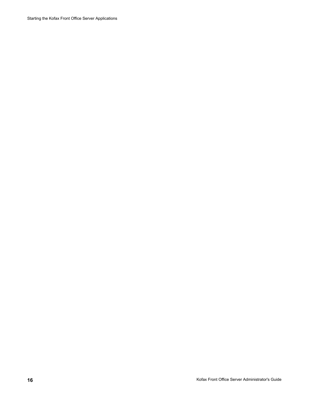Starting the Kofax Front Office Server Applications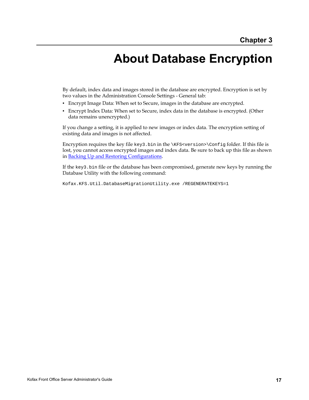# **About Database Encryption**

<span id="page-16-1"></span><span id="page-16-0"></span>By default, index data and images stored in the database are encrypted. Encryption is set by two values in the Administration Console Settings - General tab:

- **Encrypt Image Data: When set to Secure, images in the database are encrypted.**
- Encrypt Index Data: When set to Secure, index data in the database is encrypted. (Other data remains unencrypted.)

If you change a setting, it is applied to new images or index data. The encryption setting of existing data and images is not affected.

Encryption requires the key file key3.bin in the \KFS<version>\Config folder. If this file is lost, you cannot access encrypted images and index data. Be sure to back up this file as shown in [Backing Up and Restoring Configurations.](#page-26-0)

If the key3.bin file or the database has been compromised, generate new keys by running the Database Utility with the following command:

Kofax.KFS.Util.DatabaseMigrationUtility.exe /REGENERATEKEYS=1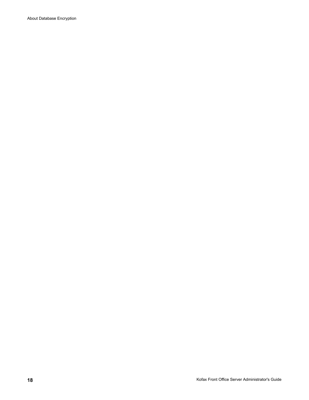About Database Encryption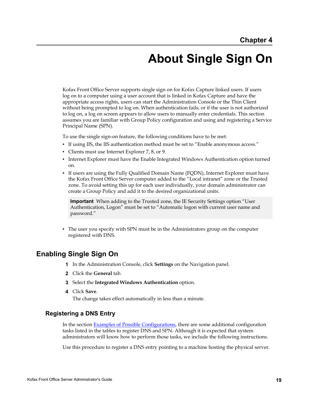# **About Single Sign On**

<span id="page-18-4"></span><span id="page-18-3"></span><span id="page-18-0"></span>Kofax Front Office Server supports single sign on for Kofax Capture linked users. If users log on to a computer using a user account that is linked in Kofax Capture and have the appropriate access rights, users can start the Administration Console or the Thin Client without being prompted to log on. When authentication fails, or if the user is not authorized to log on, a log on screen appears to allow users to manually enter credentials. This section assumes you are familiar with Group Policy configuration and using and registering a Service Principal Name (SPN).

To use the single sign-on feature, the following conditions have to be met:

- If using IIS, the IIS authentication method must be set to "Enable anonymous access."
- Clients must use Internet Explorer 7, 8, or 9.
- Internet Explorer must have the Enable Integrated Windows Authentication option turned on.
- If users are using the Fully Qualified Domain Name (FQDN), Internet Explorer must have the Kofax Front Office Server computer added to the "Local intranet" zone or the Trusted zone. To avoid setting this up for each user individually, your domain administrator can create a Group Policy and add it to the desired organizational units.

**Important** When adding to the Trusted zone, the IE Security Settings option "User Authentication, Logon" must be set to "Automatic logon with current user name and password."

▪ The user you specify with SPN must be in the Administrators group on the computer registered with DNS.

## <span id="page-18-1"></span>**Enabling Single Sign On**

- **1** In the Administration Console, click **Settings** on the Navigation panel.
- **2** Click the **General** tab.
- **3** Select the **Integrated Windows Authentication** option.
- **4** Click **Save**.

The change takes effect automatically in less than a minute.

#### <span id="page-18-2"></span>**Registering a DNS Entry**

In the section [Examples of Possible Configurations,](#page-20-0) there are some additional configuration tasks listed in the tables to register DNS and SPN. Although it is expected that system administrators will know how to perform those tasks, we include the following instructions.

Use this procedure to register a DNS entry pointing to a machine hosting the physical server.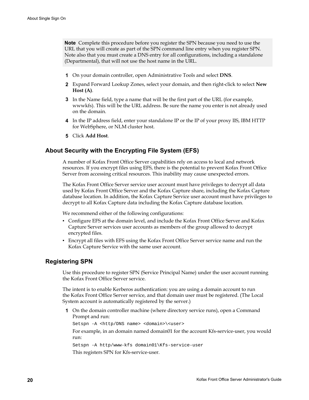**Note** Complete this procedure before you register the SPN because you need to use the URL that you will create as part of the SPN command line entry when you register SPN. Note also that you must create a DNS entry for all configurations, including a standalone (Departmental), that will not use the host name in the URL.

- **1** On your domain controller, open Administrative Tools and select **DNS**.
- **2** Expand Forward Lookup Zones, select your domain, and then right-click to select **New Host (A)**.
- **3** In the Name field, type a name that will be the first part of the URL (for example, wwwkfs). This will be the URL address. Be sure the name you enter is not already used on the domain.
- **4** In the IP address field, enter your standalone IP or the IP of your proxy IIS, IBM HTTP for WebSphere, or NLM cluster host.
- **5** Click **Add Host**.

#### <span id="page-19-2"></span><span id="page-19-0"></span>**About Security with the Encrypting File System (EFS)**

A number of Kofax Front Office Server capabilities rely on access to local and network resources. If you encrypt files using EFS, there is the potential to prevent Kofax Front Office Server from accessing critical resources. This inability may cause unexpected errors.

The Kofax Front Office Server service user account must have privileges to decrypt all data used by Kofax Front Office Server and the Kofax Capture share, including the Kofax Capture database location. In addition, the Kofax Capture Service user account must have privileges to decrypt to all Kofax Capture data including the Kofax Capture database location.

We recommend either of the following configurations:

- Configure EFS at the domain level, and include the Kofax Front Office Server and Kofax Capture Server services user accounts as members of the group allowed to decrypt encrypted files.
- Encrypt all files with EFS using the Kofax Front Office Server service name and run the Kofax Capture Service with the same user account.

#### <span id="page-19-1"></span>**Registering SPN**

Use this procedure to register SPN (Service Principal Name) under the user account running the Kofax Front Office Server service.

The intent is to enable Kerberos authentication: you are using a domain account to run the Kofax Front Office Server service, and that domain user must be registered. (The Local System account is automatically registered by the server.)

**1** On the domain controller machine (where directory service runs), open a Command Prompt and run:

Setspn -A <http/DNS name> <domain>\<user>

For example, in an domain named domain01 for the account Kfs-service-user, you would run:

Setspn -A http/www-kfs domain01\Kfs-service-user

This registers SPN for Kfs-service-user.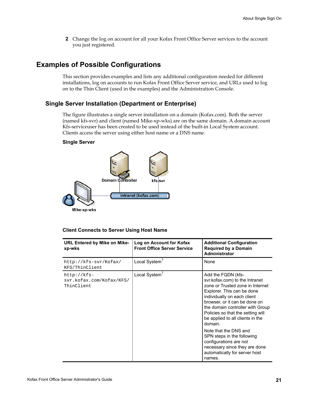**2** Change the log on account for all your Kofax Front Office Server services to the account you just registered.

# <span id="page-20-0"></span>**Examples of Possible Configurations**

This section provides examples and lists any additional configuration needed for different installations, log on accounts to run Kofax Front Office Server service, and URLs used to log on to the Thin Client (used in the examples) and the Administration Console.

### <span id="page-20-1"></span>**Single Server Installation (Department or Enterprise)**

The figure illustrates a single server installation on a domain (Kofax.com). Both the server (named kfs-svr) and client (named Mike-xp-wks) are on the same domain. A domain account Kfs-serviceuser has been created to be used instead of the built-in Local System account. Clients access the server using either host name or a DNS name.

#### **Single Server**



**Client Connects to Server Using Host Name**

| <b>URL Entered by Mike on Mike-</b><br>xp-wks           | Log on Account for Kofax<br><b>Front Office Server Service</b> | <b>Additional Configuration</b><br><b>Required by a Domain</b><br><b>Administrator</b>                                                                                                                                                                                                                                                                                                                                                                                      |
|---------------------------------------------------------|----------------------------------------------------------------|-----------------------------------------------------------------------------------------------------------------------------------------------------------------------------------------------------------------------------------------------------------------------------------------------------------------------------------------------------------------------------------------------------------------------------------------------------------------------------|
| http://kfs-svr/Kofax/<br>KFS/ThinClient                 | Local System <sup>1</sup>                                      | None                                                                                                                                                                                                                                                                                                                                                                                                                                                                        |
| $http://kfs-$<br>svr.kofax.com/Kofax/KFS/<br>ThinClient | Local System <sup>1</sup>                                      | Add the FQDN (kfs-<br>svr.kofax.com) to the Intranet<br>zone or Trusted zone in Internet<br>Explorer. This can be done<br>individually on each client<br>browser, or it can be done on<br>the domain controller with Group<br>Policies so that the setting will<br>be applied to all clients in the<br>domain.<br>Note that the DNS and<br>SPN steps in the following<br>configurations are not<br>necessary since they are done<br>automatically for server host<br>names. |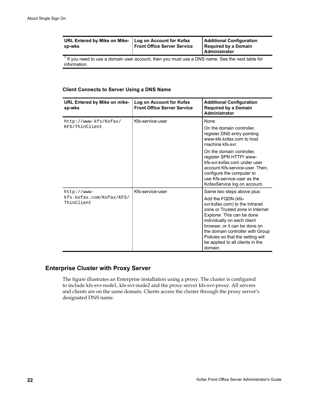$<sup>1</sup>$  If you need to use a domain user account, then you must use a DNS name. See the next table for</sup> information.

#### **Client Connects to Server Using a DNS Name**

| URL Entered by Mike on mike-<br>xp-wks                | Log on Account for Kofax<br><b>Front Office Server Service</b> | <b>Additional Configuration</b><br><b>Required by a Domain</b><br>Administrator                                                                                                                                                                                                                                                                 |
|-------------------------------------------------------|----------------------------------------------------------------|-------------------------------------------------------------------------------------------------------------------------------------------------------------------------------------------------------------------------------------------------------------------------------------------------------------------------------------------------|
| http://www-kfs/Kofax/<br>KFS/ThinClient               | Kfs-service-user                                               | <b>None</b><br>On the domain controller.<br>register DNS entry pointing<br>www-kfs.kofax.com to host<br>machine kfs-svr.<br>On the domain controller,<br>register SPN HTTP/ www-<br>kfs-svr.kofax.com under user<br>account Kfs-service-user. Then,<br>configure the computer to<br>use Kfs-service-user as the<br>KofaxService log on account. |
| http://www-<br>kfs.kofax.com/Kofax/KFS/<br>ThinClient | Kfs-service-user                                               | Same two steps above plus:<br>Add the FQDN (kfs-<br>svr.kofax.com) to the Intranet<br>zone or Trusted zone in Internet<br>Explorer. This can be done<br>individually on each client<br>browser, or it can be done on<br>the domain controller with Group<br>Policies so that the setting will<br>be applied to all clients in the<br>domain.    |

### <span id="page-21-0"></span>**Enterprise Cluster with Proxy Server**

The figure illustrates an Enterprise installation using a proxy. The cluster is configured to include kfs-svr-node1, kfs-svr-node2 and the proxy server kfs-svr-proxy. All servers and clients are on the same domain. Clients access the cluster through the proxy server's designated DNS name.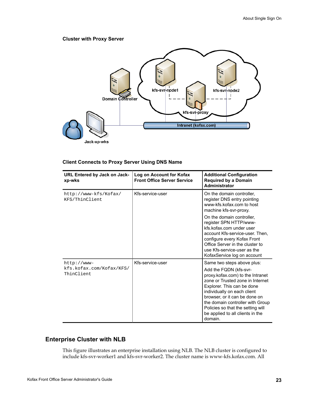#### **Cluster with Proxy Server**



#### **Client Connects to Proxy Server Using DNS Name**

| URL Entered by Jack on Jack-<br>xp-wks                | Log on Account for Kofax<br><b>Front Office Server Service</b> | <b>Additional Configuration</b><br><b>Required by a Domain</b><br>Administrator                                                                                                                                                                                                                                                                    |
|-------------------------------------------------------|----------------------------------------------------------------|----------------------------------------------------------------------------------------------------------------------------------------------------------------------------------------------------------------------------------------------------------------------------------------------------------------------------------------------------|
| http://www-kfs/Kofax/<br>KFS/ThinClient               | Kfs-service-user                                               | On the domain controller,<br>register DNS entry pointing<br>www-kfs kofax com to host<br>machine kfs-svr-proxy.                                                                                                                                                                                                                                    |
|                                                       |                                                                | On the domain controller.<br>register SPN HTTP/www-<br>kfs.kofax.com under user<br>account Kfs-service-user. Then.<br>configure every Kofax Front<br>Office Server in the cluster to<br>use Kfs-service-user as the<br>KofaxService log on account                                                                                                 |
| http://www-<br>kfs.kofax.com/Kofax/KFS/<br>ThinClient | Kfs-service-user                                               | Same two steps above plus:<br>Add the FQDN (kfs-svr-<br>proxy.kofax.com) to the Intranet<br>zone or Trusted zone in Internet<br>Explorer. This can be done<br>individually on each client<br>browser, or it can be done on<br>the domain controller with Group<br>Policies so that the setting will<br>be applied to all clients in the<br>domain. |

### <span id="page-22-0"></span>**Enterprise Cluster with NLB**

This figure illustrates an enterprise installation using NLB. The NLB cluster is configured to include kfs-svr-worker1 and kfs-svr-worker2. The cluster name is www-kfs.kofax.com. All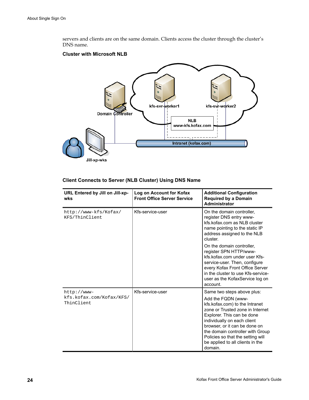servers and clients are on the same domain. Clients access the cluster through the cluster's DNS name.





### **Client Connects to Server (NLB Cluster) Using DNS Name**

| URL Entered by Jill on Jill-xp-<br>wks                | Log on Account for Kofax<br><b>Front Office Server Service</b> | <b>Additional Configuration</b><br><b>Required by a Domain</b><br>Administrator                                                                                                                                                                                                                                                              |
|-------------------------------------------------------|----------------------------------------------------------------|----------------------------------------------------------------------------------------------------------------------------------------------------------------------------------------------------------------------------------------------------------------------------------------------------------------------------------------------|
| http://www-kfs/Kofax/<br>KFS/ThinClient               | Kfs-service-user                                               | On the domain controller,<br>register DNS entry www-<br>kfs.kofax.com as NLB cluster<br>name pointing to the static IP<br>address assigned to the NLB<br>cluster.                                                                                                                                                                            |
|                                                       |                                                                | On the domain controller,<br>register SPN HTTP/www-<br>kfs.kofax.com under user Kfs-<br>service-user. Then, configure<br>every Kofax Front Office Server<br>in the cluster to use Kfs-service-<br>user as the KofaxService log on<br>account.                                                                                                |
| http://www-<br>kfs.kofax.com/Kofax/KFS/<br>ThinClient | Kfs-service-user                                               | Same two steps above plus:<br>Add the FQDN (www-<br>kfs.kofax.com) to the Intranet<br>zone or Trusted zone in Internet<br>Explorer. This can be done<br>individually on each client<br>browser, or it can be done on<br>the domain controller with Group<br>Policies so that the setting will<br>be applied to all clients in the<br>domain. |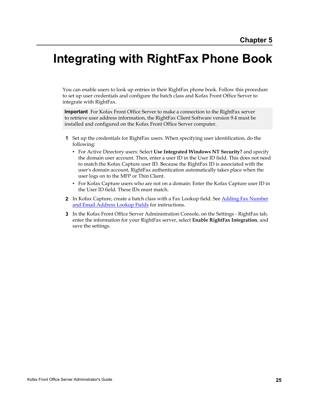# <span id="page-24-1"></span><span id="page-24-0"></span>**Integrating with RightFax Phone Book**

You can enable users to look up entries in their RightFax phone book. Follow this procedure to set up user credentials and configure the batch class and Kofax Front Office Server to integrate with RightFax.

**Important** For Kofax Front Office Server to make a connection to the RightFax server to retrieve user address information, the RightFax Client Software version 9.4 must be installed and configured on the Kofax Front Office Server computer.

- **1** Set up the credentials for RightFax users. When specifying user identification, do the following:
	- For Active Directory users: Select **Use Integrated Windows NT Security?** and specify the domain user account. Then, enter a user ID in the User ID field. This does not need to match the Kofax Capture user ID. Because the RightFax ID is associated with the user's domain account, RightFax authentication automatically takes place when the user logs on to the MFP or Thin Client.
	- For Kofax Capture users who are not on a domain: Enter the Kofax Capture user ID in the User ID field. These IDs must match.
- **2** In Kofax Capture, create a batch class with a Fax Lookup field. See [Adding Fax Number](#page-44-0) [and Email Address Lookup Fields](#page-44-0) for instructions.
- **3** In the Kofax Front Office Server Administration Console, on the Settings RightFax tab, enter the information for your RightFax server, select **Enable RightFax Integration**, and save the settings.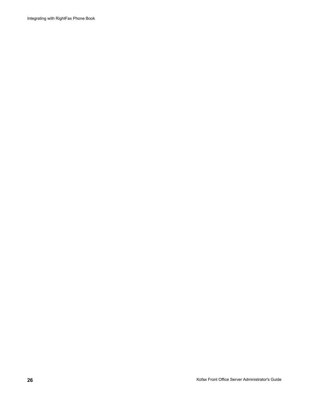Integrating with RightFax Phone Book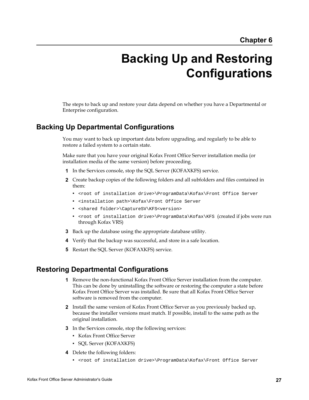# **Backing Up and Restoring Configurations**

<span id="page-26-4"></span><span id="page-26-0"></span>The steps to back up and restore your data depend on whether you have a Departmental or Enterprise configuration.

# <span id="page-26-3"></span><span id="page-26-1"></span>**Backing Up Departmental Configurations**

You may want to back up important data before upgrading, and regularly to be able to restore a failed system to a certain state.

Make sure that you have your original Kofax Front Office Server installation media (or installation media of the same version) before proceeding.

- **1** In the Services console, stop the SQL Server (KOFAXKFS) service.
- **2** Create backup copies of the following folders and all subfolders and files contained in them:
	- <root of installation drive>\ProgramData\Kofax\Front Office Server
	- <installation path>\Kofax\Front Office Server
	- <shared folder>\CaptureSV\KFS<version>
	- <root of installation drive>\ProgramData\Kofax\KFS (created if jobs were run through Kofax VRS)
- **3** Back up the database using the appropriate database utility.
- **4** Verify that the backup was successful, and store in a safe location.
- **5** Restart the SQL Server (KOFAXKFS) service.

## <span id="page-26-5"></span><span id="page-26-2"></span>**Restoring Departmental Configurations**

- **1** Remove the non-functional Kofax Front Office Server installation from the computer. This can be done by uninstalling the software or restoring the computer a state before Kofax Front Office Server was installed. Be sure that all Kofax Front Office Server software is removed from the computer.
- **2** Install the same version of Kofax Front Office Server as you previously backed up, because the installer versions must match. If possible, install to the same path as the original installation.
- **3** In the Services console, stop the following services:
	- Kofax Front Office Server
	- SQL Server (KOFAXKFS)
- **4** Delete the following folders:
	- <root of installation drive>\ProgramData\Kofax\Front Office Server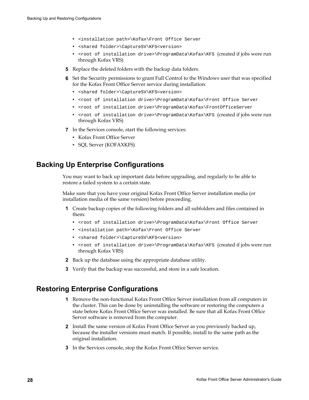- <installation path>\Kofax\Front Office Server
- <shared folder>\CaptureSV\KFS<version>
- <root of installation drive>\ProgramData\Kofax\KFS (created if jobs were run through Kofax VRS)
- **5** Replace the deleted folders with the backup data folders.
- **6** Set the Security permissions to grant Full Control to the Windows user that was specified for the Kofax Front Office Server service during installation:
	- <shared folder>\CaptureSV\KFS<version>
	- <root of installation drive>\ProgramData\Kofax\Front Office Server
	- <root of installation drive>\ProgramData\Kofax\FrontOfficeServer
	- <root of installation drive>\ProgramData\Kofax\KFS (created if jobs were run through Kofax VRS)
- **7** In the Services console, start the following services:
	- Kofax Front Office Server
	- SQL Server (KOFAXKFS)

### <span id="page-27-2"></span><span id="page-27-0"></span>**Backing Up Enterprise Configurations**

You may want to back up important data before upgrading, and regularly to be able to restore a failed system to a certain state.

Make sure that you have your original Kofax Front Office Server installation media (or installation media of the same version) before proceeding.

- **1** Create backup copies of the following folders and all subfolders and files contained in them:
	- <root of installation drive>\ProgramData\Kofax\Front Office Server
	- <installation path>\Kofax\Front Office Server
	- <shared folder>\CaptureSV\KFS<version>
	- <root of installation drive>\ProgramData\Kofax\KFS (created if jobs were run through Kofax VRS)
- **2** Back up the database using the appropriate database utility.
- **3** Verify that the backup was successful, and store in a safe location.

#### <span id="page-27-3"></span><span id="page-27-1"></span>**Restoring Enterprise Configurations**

- **1** Remove the non-functional Kofax Front Office Server installation from all computers in the cluster. This can be done by uninstalling the software or restoring the computers a state before Kofax Front Office Server was installed. Be sure that all Kofax Front Office Server software is removed from the computer.
- **2** Install the same version of Kofax Front Office Server as you previously backed up, because the installer versions must match. If possible, install to the same path as the original installation.
- **3** In the Services console, stop the Kofax Front Office Server service.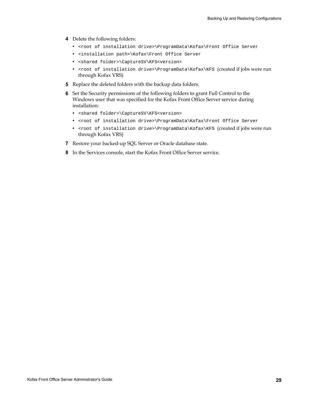- **4** Delete the following folders:
	- <root of installation drive>\ProgramData\Kofax\Front Office Server
	- <installation path>\Kofax\Front Office Server
	- <shared folder>\CaptureSV\KFS<version>
	- <root of installation drive>\ProgramData\Kofax\KFS (created if jobs were run through Kofax VRS)
- **5** Replace the deleted folders with the backup data folders.
- **6** Set the Security permissions of the following folders to grant Full Control to the Windows user that was specified for the Kofax Front Office Server service during installation:
	- <shared folder>\CaptureSV\KFS<version>
	- <root of installation drive>\ProgramData\Kofax\Front Office Server
	- <root of installation drive>\ProgramData\Kofax\KFS (created if jobs were run through Kofax VRS)
- **7** Restore your backed-up SQL Server or Oracle database state.
- **8** In the Services console, start the Kofax Front Office Server service.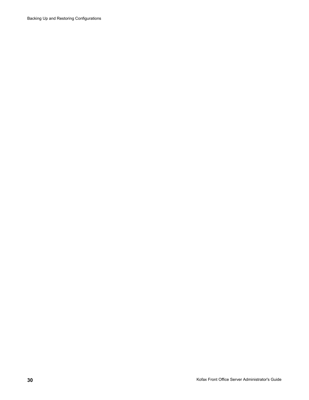Backing Up and Restoring Configurations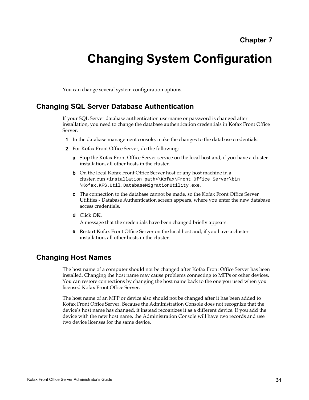# <span id="page-30-0"></span>**Changing System Configuration**

You can change several system configuration options.

# <span id="page-30-3"></span><span id="page-30-1"></span>**Changing SQL Server Database Authentication**

If your SQL Server database authentication username or password is changed after installation, you need to change the database authentication credentials in Kofax Front Office Server.

- **1** In the database management console, make the changes to the database credentials.
- **2** For Kofax Front Office Server, do the following:
	- **a** Stop the Kofax Front Office Server service on the local host and, if you have a cluster installation, all other hosts in the cluster.
	- **b** On the local Kofax Front Office Server host or any host machine in a cluster, run <installation path>\Kofax\Front Office Server\bin \Kofax.KFS.Util.DatabaseMigrationUtility.exe.
	- **c** The connection to the database cannot be made, so the Kofax Front Office Server Utilities - Database Authentication screen appears, where you enter the new database access credentials.
	- **d** Click **OK**.

A message that the credentials have been changed briefly appears.

**e** Restart Kofax Front Office Server on the local host and, if you have a cluster installation, all other hosts in the cluster.

## <span id="page-30-2"></span>**Changing Host Names**

The host name of a computer should not be changed after Kofax Front Office Server has been installed. Changing the host name may cause problems connecting to MFPs or other devices. You can restore connections by changing the host name back to the one you used when you licensed Kofax Front Office Server.

The host name of an MFP or device also should not be changed after it has been added to Kofax Front Office Server. Because the Administration Console does not recognize that the device's host name has changed, it instead recognizes it as a different device. If you add the device with the new host name, the Administration Console will have two records and use two device licenses for the same device.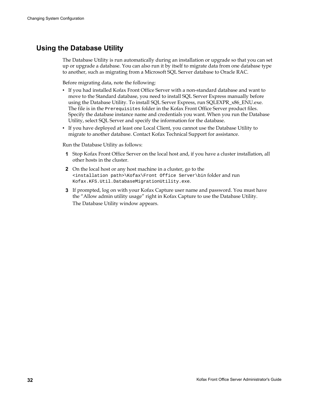# <span id="page-31-1"></span><span id="page-31-0"></span>**Using the Database Utility**

The Database Utility is run automatically during an installation or upgrade so that you can set up or upgrade a database. You can also run it by itself to migrate data from one database type to another, such as migrating from a Microsoft SQL Server database to Oracle RAC.

Before migrating data, note the following:

- If you had installed Kofax Front Office Server with a non-standard database and want to move to the Standard database, you need to install SQL Server Express manually before using the Database Utility. To install SQL Server Express, run SQLEXPR\_x86\_ENU.exe. The file is in the Prerequisites folder in the Kofax Front Office Server product files. Specify the database instance name and credentials you want. When you run the Database Utility, select SQL Server and specify the information for the database.
- If you have deployed at least one Local Client, you cannot use the Database Utility to migrate to another database. Contact Kofax Technical Support for assistance.

Run the Database Utility as follows:

- **1** Stop Kofax Front Office Server on the local host and, if you have a cluster installation, all other hosts in the cluster.
- **2** On the local host or any host machine in a cluster, go to the <installation path>\Kofax\Front Office Server\bin folder and run Kofax.KFS.Util.DatabaseMigrationUtility.exe.
- **3** If prompted, log on with your Kofax Capture user name and password. You must have the "Allow admin utility usage" right in Kofax Capture to use the Database Utility. The Database Utility window appears.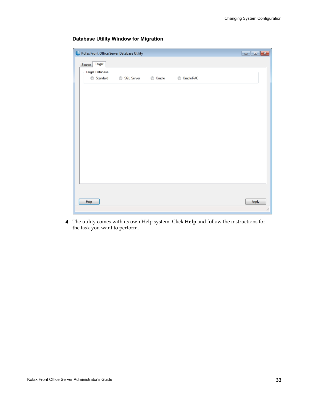| Target<br>Source                   |            |               |             | $\begin{tabular}{ c c c c c } \hline \quad & \quad & \quad & \quad \quad & \quad \quad & \quad \quad \\ \hline \quad \quad & \quad & \quad & \quad \quad & \quad \quad & \quad \quad & \quad \quad & \quad \quad \\ \hline \end{tabular}$ |
|------------------------------------|------------|---------------|-------------|-------------------------------------------------------------------------------------------------------------------------------------------------------------------------------------------------------------------------------------------|
| <b>Target Database</b><br>Standard | SQL Server | <b>Oracle</b> | O OracleRAC |                                                                                                                                                                                                                                           |
|                                    |            |               |             |                                                                                                                                                                                                                                           |
|                                    |            |               |             |                                                                                                                                                                                                                                           |
|                                    |            |               |             |                                                                                                                                                                                                                                           |
|                                    |            |               |             |                                                                                                                                                                                                                                           |
|                                    |            |               |             |                                                                                                                                                                                                                                           |
|                                    |            |               |             |                                                                                                                                                                                                                                           |
|                                    |            |               |             |                                                                                                                                                                                                                                           |
|                                    |            |               |             |                                                                                                                                                                                                                                           |
| Help                               |            |               |             | Apply                                                                                                                                                                                                                                     |

#### **Database Utility Window for Migration**

**4** The utility comes with its own Help system. Click **Help** and follow the instructions for the task you want to perform.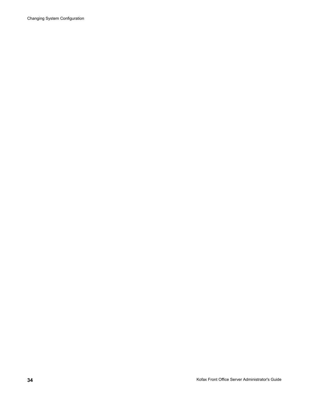Changing System Configuration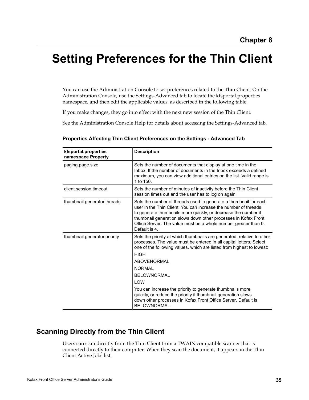# <span id="page-34-3"></span><span id="page-34-0"></span>**Setting Preferences for the Thin Client**

You can use the Administration Console to set preferences related to the Thin Client. On the Administration Console, use the Settings-Advanced tab to locate the kfsportal.properties namespace, and then edit the applicable values, as described in the following table.

If you make changes, they go into effect with the next new session of the Thin Client.

See the Administration Console Help for details about accessing the Settings-Advanced tab.

| kfsportal.properties<br>namespace Property | <b>Description</b>                                                                                                                                                                                                                                                                                                                                          |
|--------------------------------------------|-------------------------------------------------------------------------------------------------------------------------------------------------------------------------------------------------------------------------------------------------------------------------------------------------------------------------------------------------------------|
| paging.page.size                           | Sets the number of documents that display at one time in the<br>Inbox. If the number of documents in the Inbox exceeds a defined<br>maximum, you can view additional entries on the list. Valid range is<br>1 to 150.                                                                                                                                       |
| client.session.timeout                     | Sets the number of minutes of inactivity before the Thin Client<br>session times out and the user has to log on again.                                                                                                                                                                                                                                      |
| thumbnail.generator.threads                | Sets the number of threads used to generate a thumbnail for each<br>user in the Thin Client. You can increase the number of threads<br>to generate thumbnails more quickly, or decrease the number if<br>thumbnail generation slows down other processes in Kofax Front<br>Office Server. The value must be a whole number greater than 0.<br>Default is 4. |
| thumbnail.generator.priority               | Sets the priority at which thumbnails are generated, relative to other<br>processes. The value must be entered in all capital letters. Select<br>one of the following values, which are listed from highest to lowest:<br><b>HIGH</b>                                                                                                                       |
|                                            | <b>ABOVENORMAL</b>                                                                                                                                                                                                                                                                                                                                          |
|                                            | <b>NORMAL</b>                                                                                                                                                                                                                                                                                                                                               |
|                                            | <b>BELOWNORMAL</b>                                                                                                                                                                                                                                                                                                                                          |
|                                            | LOW                                                                                                                                                                                                                                                                                                                                                         |
|                                            | You can increase the priority to generate thumbnails more<br>quickly, or reduce the priority if thumbnail generation slows<br>down other processes in Kofax Front Office Server. Default is<br>BELOWNORMAL.                                                                                                                                                 |

#### **Properties Affecting Thin Client Preferences on the Settings - Advanced Tab**

# <span id="page-34-2"></span><span id="page-34-1"></span>**Scanning Directly from the Thin Client**

Users can scan directly from the Thin Client from a TWAIN compatible scanner that is connected directly to their computer. When they scan the document, it appears in the Thin Client Active Jobs list.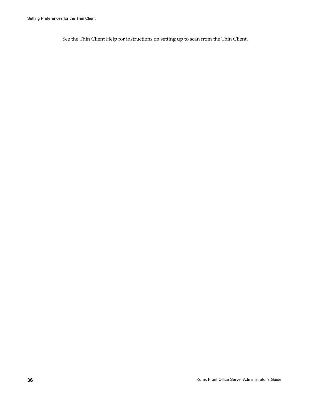See the Thin Client Help for instructions on setting up to scan from the Thin Client.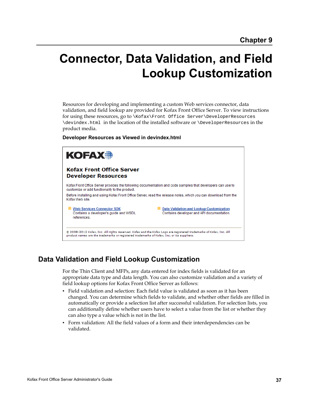# <span id="page-36-2"></span><span id="page-36-0"></span>**Connector, Data Validation, and Field Lookup Customization**

Resources for developing and implementing a custom Web services connector, data validation, and field lookup are provided for Kofax Front Office Server. To view instructions for using these resources, go to \Kofax\Front Office Server\DeveloperResources \devindex.html in the location of the installed software or \DeveloperResources in the product media.

#### **Developer Resources as Viewed in devindex.html**



# <span id="page-36-1"></span> **Data Validation and Field Lookup Customization**

For the Thin Client and MFPs, any data entered for index fields is validated for an appropriate data type and data length. You can also customize validation and a variety of field lookup options for Kofax Front Office Server as follows:

- Field validation and selection: Each field value is validated as soon as it has been changed. You can determine which fields to validate, and whether other fields are filled in automatically or provide a selection list after successful validation. For selection lists, you can additionally define whether users have to select a value from the list or whether they can also type a value which is not in the list.
- Form validation: All the field values of a form and their interdependencies can be validated.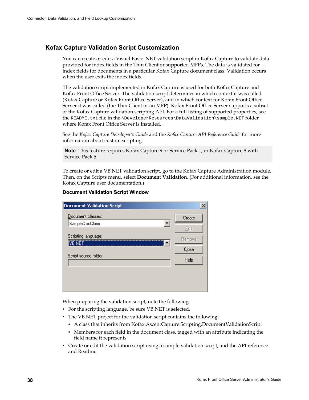### <span id="page-37-0"></span>**Kofax Capture Validation Script Customization**

You can create or edit a Visual Basic .NET validation script in Kofax Capture to validate data provided for index fields in the Thin Client or supported MFPs. The data is validated for index fields for documents in a particular Kofax Capture document class. Validation occurs when the user exits the index fields.

The validation script implemented in Kofax Capture is used for both Kofax Capture and Kofax Front Office Server. The validation script determines in which context it was called (Kofax Capture or Kofax Front Office Server), and in which context for Kofax Front Office Server it was called (the Thin Client or an MFP). Kofax Front Office Server supports a subset of the Kofax Capture validation scripting API. For a full listing of supported properties, see the README.txt file in the \DeveloperResources\DataValidation\sample.NET folder where Kofax Front Office Server is installed.

See the *Kofax Capture Developer's Guide* and the *Kofax Capture API Reference Guide* for more information about custom scripting.

**Note** This feature requires Kofax Capture 9 or Service Pack 1, or Kofax Capture 8 with Service Pack 5.

To create or edit a VB.NET validation script, go to the Kofax Capture Administration module. Then, on the Scripts menu, select **Document Validation**. (For additional information, see the Kofax Capture user documentation.)

#### **Document Validation Script Window**

| <b>Document Validation Script</b>                               | $\times$        |
|-----------------------------------------------------------------|-----------------|
| Document classes:<br>$\overline{\phantom{a}}$<br>SampleDocClass | Create          |
| Scripting language:                                             | Edit            |
| VB.NET                                                          | Remove<br>Close |
| Script source folder:                                           | Help            |
|                                                                 |                 |
|                                                                 |                 |

When preparing the validation script, note the following:

- For the scripting language, be sure VB.NET is selected.
- The VB.NET project for the validation script contains the following:
	- A class that inherits from Kofax.AscentCapture.Scripting.DocumentValidationScript
	- Members for each field in the document class, tagged with an attribute indicating the field name it represents
- Create or edit the validation script using a sample validation script, and the API reference and Readme.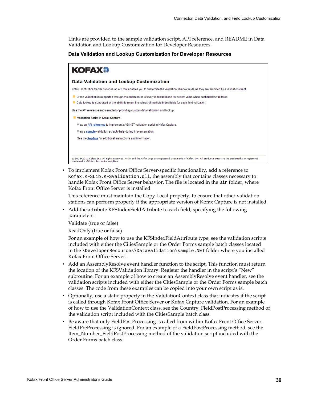Links are provided to the sample validation script, API reference, and README in Data Validation and Lookup Customization for Developer Resources.

**Data Validation and Lookup Customization for Developer Resources**



▪ To implement Kofax Front Office Server-specific functionality, add a reference to Kofax.KFSLib.KFSValidation.dll, the assembly that contains classes necessary to handle Kofax Front Office Server behavior. The file is located in the  $\text{Bin}$  folder, where Kofax Front Office Server is installed.

This reference must maintain the Copy Local property, to ensure that other validation stations can perform properly if the appropriate version of Kofax Capture is not installed.

▪ Add the attribute KFSIndexFieldAttribute to each field, specifying the following parameters:

Validate (true or false)

ReadOnly (true or false)

For an example of how to use the KFSIndexFieldAttribute type, see the validation scripts included with either the CitiesSample or the Order Forms sample batch classes located in the \DeveloperResources\DataValidation\sample.NET folder where you installed Kofax Front Office Server.

- Add an AssemblyResolve event handler function to the script. This function must return the location of the KFSValidation library. Register the handler in the script's "New" subroutine. For an example of how to create an AssemblyResolve event handler, see the validation scripts included with either the CitiesSample or the Order Forms sample batch classes. The code from these examples can be copied into your own script as is.
- Optionally, use a static property in the ValidationContext class that indicates if the script is called through Kofax Front Office Server or Kofax Capture validation. For an example of how to use the ValidationContext class, see the Country\_FieldPostProcessing method of the validation script included with the CitiesSample batch class.
- Be aware that only FieldPostProcessing is called from within Kofax Front Office Server. FieldPreProcessing is ignored. For an example of a FieldPostProcessing method, see the Item\_Number\_FieldPostProcessing method of the validation script included with the Order Forms batch class.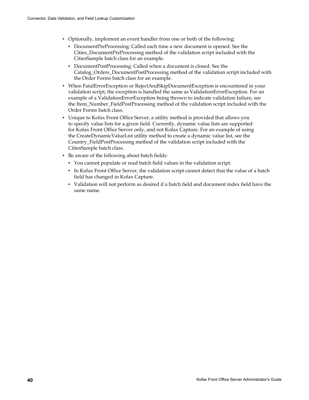- Optionally, implement an event handler from one or both of the following:
	- DocumentPreProcessing: Called each time a new document is opened. See the Cities\_DocumentPreProcessing method of the validation script included with the CitiesSample batch class for an example.
	- DocumentPostProcessing: Called when a document is closed. See the Catalog\_Orders\_DocumentPostProcessing method of the validation script included with the Order Forms batch class for an example.
- When FatalErrorException or RejectAndSkipDocumentException is encountered in your validation script, the exception is handled the same as ValidationErrorException. For an example of a ValidationErrorException being thrown to indicate validation failure, see the Item\_Number\_FieldPostProcessing method of the validation script included with the Order Forms batch class.
- Unique to Kofax Front Office Server, a utility method is provided that allows you to specify value lists for a given field. Currently, dynamic value lists are supported for Kofax Front Office Server only, and not Kofax Capture. For an example of using the CreateDynamicValueList utility method to create a dynamic value list, see the Country\_FieldPostProcessing method of the validation script included with the CitiesSample batch class.
- Be aware of the following about batch fields:
	- You cannot populate or read batch field values in the validation script.
	- In Kofax Front Office Server, the validation script cannot detect that the value of a batch field has changed in Kofax Capture.
	- Validation will not perform as desired if a batch field and document index field have the same name.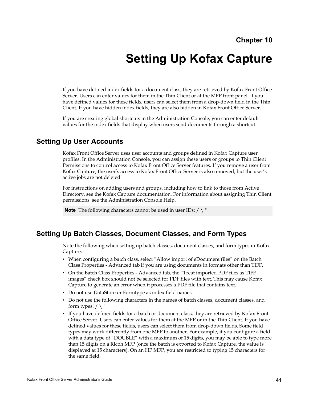# **Setting Up Kofax Capture**

<span id="page-40-0"></span>If you have defined index fields for a document class, they are retrieved by Kofax Front Office Server. Users can enter values for them in the Thin Client or at the MFP front panel. If you have defined values for these fields, users can select them from a drop-down field in the Thin Client. If you have hidden index fields, they are also hidden in Kofax Front Office Server.

If you are creating global shortcuts in the Administration Console, you can enter default values for the index fields that display when users send documents through a shortcut.

# <span id="page-40-4"></span><span id="page-40-1"></span>**Setting Up User Accounts**

Kofax Front Office Server uses user accounts and groups defined in Kofax Capture user profiles. In the Administration Console, you can assign these users or groups to Thin Client Permissions to control access to Kofax Front Office Server features. If you remove a user from Kofax Capture, the user's access to Kofax Front Office Server is also removed, but the user's active jobs are not deleted.

For instructions on adding users and groups, including how to link to those from Active Directory, see the Kofax Capture documentation. For information about assigning Thin Client permissions, see the Administration Console Help.

**Note** The following characters cannot be used in user IDs:  $\bigwedge$  "

## <span id="page-40-3"></span><span id="page-40-2"></span>**Setting Up Batch Classes, Document Classes, and Form Types**

Note the following when setting up batch classes, document classes, and form types in Kofax Capture:

- When configuring a batch class, select "Allow import of eDocument files" on the Batch Class Properties - Advanced tab if you are using documents in formats other than TIFF.
- On the Batch Class Properties Advanced tab, the "Treat imported PDF files as TIFF images" check box should not be selected for PDF files with text. This may cause Kofax Capture to generate an error when it processes a PDF file that contains text.
- Do not use DataStore or Formtype as index field names.
- Do not use the following characters in the names of batch classes, document classes, and form types:  $/ \ \$  "
- If you have defined fields for a batch or document class, they are retrieved by Kofax Front Office Server. Users can enter values for them at the MFP or in the Thin Client. If you have defined values for these fields, users can select them from drop-down fields. Some field types may work differently from one MFP to another. For example, if you configure a field with a data type of "DOUBLE" with a maximum of 15 digits, you may be able to type more than 15 digits on a Ricoh MFP (once the batch is exported to Kofax Capture, the value is displayed at 15 characters). On an HP MFP, you are restricted to typing 15 characters for the same field.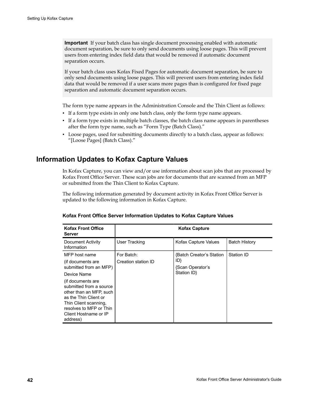**Important** If your batch class has single document processing enabled with automatic document separation, be sure to only send documents using loose pages. This will prevent users from entering index field data that would be removed if automatic document separation occurs.

If your batch class uses Kofax Fixed Pages for automatic document separation, be sure to only send documents using loose pages. This will prevent users from entering index field data that would be removed if a user scans more pages than is configured for fixed page separation and automatic document separation occurs.

The form type name appears in the Administration Console and the Thin Client as follows:

- If a form type exists in only one batch class, only the form type name appears.
- If a form type exists in multiple batch classes, the batch class name appears in parentheses after the form type name, such as "Form Type (Batch Class)."
- Loose pages, used for submitting documents directly to a batch class, appear as follows: "[Loose Pages] (Batch Class)."

## <span id="page-41-1"></span><span id="page-41-0"></span>**Information Updates to Kofax Capture Values**

In Kofax Capture, you can view and/or use information about scan jobs that are processed by Kofax Front Office Server. These scan jobs are for documents that are scanned from an MFP or submitted from the Thin Client to Kofax Capture.

The following information generated by document activity in Kofax Front Office Server is updated to the following information in Kofax Capture.

| <b>Kofax Front Office</b><br>Server                                                                                                                                                                                                                                      | <b>Kofax Capture</b>              |                                                                          |                      |
|--------------------------------------------------------------------------------------------------------------------------------------------------------------------------------------------------------------------------------------------------------------------------|-----------------------------------|--------------------------------------------------------------------------|----------------------|
| Document Activity<br>Information                                                                                                                                                                                                                                         | <b>User Tracking</b>              | Kofax Capture Values                                                     | <b>Batch History</b> |
| MFP host name<br>(if documents are<br>submitted from an MFP)<br>Device Name<br>(if documents are<br>submitted from a source<br>other than an MFP, such<br>as the Thin Client or<br>Thin Client scanning.<br>resolves to MFP or Thin<br>Client Hostname or IP<br>address) | For Batch:<br>Creation station ID | <b>Batch Creator's Station</b><br>ID}<br>{Scan Operator's<br>Station ID} | Station ID           |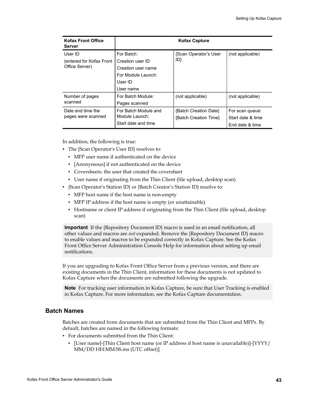| <b>Kofax Front Office</b><br>Server                   |                                                                                                    | <b>Kofax Capture</b>                           |                                                         |
|-------------------------------------------------------|----------------------------------------------------------------------------------------------------|------------------------------------------------|---------------------------------------------------------|
| User ID<br>(entered for Kofax Front<br>Office Server) | For Batch:<br>Creation user ID<br>Creation user name<br>For Module Launch:<br>User ID<br>User name | {Scan Operator's User<br>ID}                   | (not applicable)                                        |
| Number of pages<br>scanned                            | For Batch Module:<br>Pages scanned                                                                 | (not applicable)                               | (not applicable)                                        |
| Date and time the<br>pages were scanned               | For Batch Module and<br>Module Launch:<br>Start date and time                                      | {Batch Creation Date}<br>{Batch Creation Time} | For scan queue:<br>Start date & time<br>End date & time |

In addition, the following is true:

- The {Scan Operator's User ID} resolves to:
	- MFP user name if authenticated on the device
	- [Anonymous] if not authenticated on the device
	- Coversheets: the user that created the coversheet
	- User name if originating from the Thin Client (file upload, desktop scan)
- {Scan Operator's Station ID} or {Batch Creator's Station ID} resolve to:
	- MFP host name if the host name is non-empty
	- MFP IP address if the host name is empty (or unattainable)
	- Hostname or client IP address if originating from the Thin Client (file upload, desktop scan)

**Important** If the {Repository Document ID} macro is used in an email notification, all other values and macros are *not* expanded. Remove the {Repository Document ID} macro to enable values and macros to be expanded correctly in Kofax Capture. See the Kofax Front Office Server Administration Console Help for information about setting up email notifications.

If you are upgrading to Kofax Front Office Server from a previous version, and there are existing documents in the Thin Client, information for these documents is not updated to Kofax Capture when the documents are submitted following the upgrade.

**Note** For tracking user information in Kofax Capture, be sure that User Tracking is enabled in Kofax Capture. For more information, see the Kofax Capture documentation.

#### <span id="page-42-0"></span>**Batch Names**

Batches are created from documents that are submitted from the Thin Client and MFPs. By default, batches are named in the following formats:

- For documents submitted from the Thin Client:
	- [User name]-[Thin Client host name (or IP address if host name is unavailable)]-[YYYY/ MM/DD HH:MM:SS.ms (UTC offset)]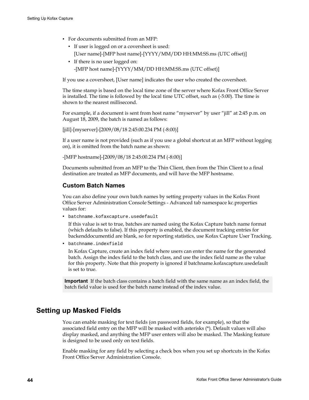- For documents submitted from an MFP:
	- If user is logged on or a coversheet is used: [User name]-[MFP host name]-[YYYY/MM/DD HH:MM:SS.ms (UTC offset)]
	- If there is no user logged on: -[MFP host name]-[YYYY/MM/DD HH:MM:SS.ms (UTC offset)]

If you use a coversheet, [User name] indicates the user who created the coversheet.

The time stamp is based on the local time zone of the server where Kofax Front Office Server is installed. The time is followed by the local time UTC offset, such as (-5:00). The time is shown to the nearest millisecond.

For example, if a document is sent from host name "myserver" by user "jill" at 2:45 p.m. on August 18, 2009, the batch is named as follows:

[jill]-[myserver]-[2009/08/18 2:45:00.234 PM (-8:00)]

If a user name is not provided (such as if you use a global shortcut at an MFP without logging on), it is omitted from the batch name as shown:

-[MFP hostname]-[2009/08/18 2:45:00.234 PM (-8:00)]

Documents submitted from an MFP to the Thin Client, then from the Thin Client to a final destination are treated as MFP documents, and will have the MFP hostname.

#### **Custom Batch Names**

You can also define your own batch names by setting property values in the Kofax Front Office Server Administration Console Settings - Advanced tab namespace kc.properties values for:

▪ batchname.kofaxcapture.usedefault

If this value is set to true, batches are named using the Kofax Capture batch name format (which defaults to false). If this property is enabled, the document tracking entries for backenddocumentid are blank, so for reporting statistics, use Kofax Capture User Tracking.

▪ batchname.indexfield

In Kofax Capture, create an index field where users can enter the name for the generated batch. Assign the index field to the batch class, and use the index field name as the value for this property. Note that this property is ignored if batchname.kofaxcapture.usedefault is set to true.

**Important** If the batch class contains a batch field with the same name as an index field, the batch field value is used for the batch name instead of the index value.

## <span id="page-43-0"></span>**Setting up Masked Fields**

You can enable masking for text fields (on password fields, for example), so that the associated field entry on the MFP will be masked with asterisks (\*). Default values will also display masked, and anything the MFP user enters will also be masked. The Masking feature is designed to be used only on text fields.

Enable masking for any field by selecting a check box when you set up shortcuts in the Kofax Front Office Server Administration Console.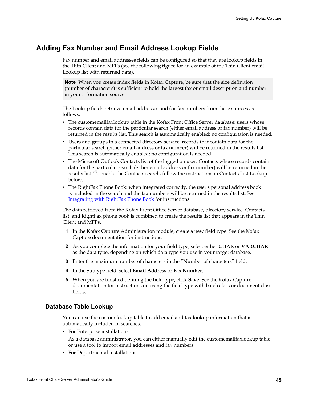# <span id="page-44-2"></span><span id="page-44-0"></span>**Adding Fax Number and Email Address Lookup Fields**

Fax number and email addresses fields can be configured so that they are lookup fields in the Thin Client and MFPs (see the following figure for an example of the Thin Client email Lookup list with returned data).

**Note** When you create index fields in Kofax Capture, be sure that the size definition (number of characters) is sufficient to hold the largest fax or email description and number in your information source.

The Lookup fields retrieve email addresses and/or fax numbers from these sources as follows:

- The customemailfaxlookup table in the Kofax Front Office Server database: users whose records contain data for the particular search (either email address or fax number) will be returned in the results list. This search is automatically enabled: no configuration is needed.
- Users and groups in a connected directory service: records that contain data for the particular search (either email address or fax number) will be returned in the results list. This search is automatically enabled: no configuration is needed.
- The Microsoft Outlook Contacts list of the logged on user: Contacts whose records contain data for the particular search (either email address or fax number) will be returned in the results list. To enable the Contacts search, follow the instructions in Contacts List Lookup below.
- The RightFax Phone Book: when integrated correctly, the user's personal address book is included in the search and the fax numbers will be returned in the results list. See [Integrating with RightFax Phone Book](#page-24-0) for instructions.

The data retrieved from the Kofax Front Office Server database, directory service, Contacts list, and RightFax phone book is combined to create the results list that appears in the Thin Client and MFPs.

- **1** In the Kofax Capture Administration module, create a new field type. See the Kofax Capture documentation for instructions.
- **2** As you complete the information for your field type, select either **CHAR** or **VARCHAR** as the data type, depending on which data type you use in your target database.
- **3** Enter the maximum number of characters in the "Number of characters" field.
- **4** In the Subtype field, select **Email Address** or **Fax Number**.
- **5** When you are finished defining the field type, click **Save**. See the Kofax Capture documentation for instructions on using the field type with batch class or document class fields.

#### <span id="page-44-1"></span>**Database Table Lookup**

You can use the custom lookup table to add email and fax lookup information that is automatically included in searches.

▪ For Enterprise installations:

As a database administrator, you can either manually edit the customemailfaxlookup table or use a tool to import email addresses and fax numbers.

▪ For Departmental installations: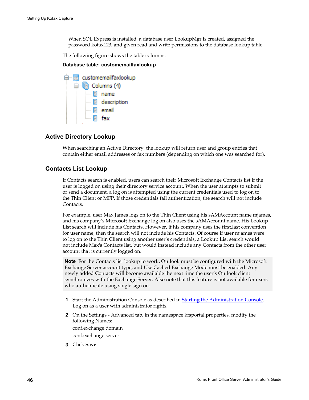When SQL Express is installed, a database user LookupMgr is created, assigned the password kofax123, and given read and write permissions to the database lookup table.

The following figure shows the table columns.

#### **Database table: customemailfaxlookup**



### <span id="page-45-0"></span>**Active Directory Lookup**

When searching an Active Directory, the lookup will return user and group entries that contain either email addresses or fax numbers (depending on which one was searched for).

### <span id="page-45-1"></span>**Contacts List Lookup**

If Contacts search is enabled, users can search their Microsoft Exchange Contacts list if the user is logged on using their directory service account. When the user attempts to submit or send a document, a log on is attempted using the current credentials used to log on to the Thin Client or MFP. If those credentials fail authentication, the search will not include Contacts.

For example, user Max James logs on to the Thin Client using his sAMAccount name mjames, and his company's Microsoft Exchange log on also uses the sAMAccount name. His Lookup List search will include his Contacts. However, if his company uses the first.last convention for user name, then the search will not include his Contacts. Of course if user mjames were to log on to the Thin Client using another user's credentials, a Lookup List search would not include Max's Contacts list, but would instead include any Contacts from the other user account that is currently logged on.

**Note** For the Contacts list lookup to work, Outlook must be configured with the Microsoft Exchange Server account type, and Use Cached Exchange Mode must be enabled. Any newly added Contacts will become available the next time the user's Outlook client synchronizes with the Exchange Server. Also note that this feature is not available for users who authenticate using single sign on.

- **1** Start the Administration Console as described in [Starting the Administration Console.](#page-10-1) Log on as a user with administrator rights.
- **2** On the Settings Advanced tab, in the namespace kfsportal.properties, modify the following Names: conf.exchange.domain conf.exchange.server
- **3** Click **Save**.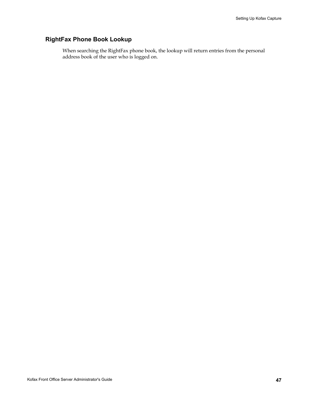## <span id="page-46-0"></span>**RightFax Phone Book Lookup**

When searching the RightFax phone book, the lookup will return entries from the personal address book of the user who is logged on.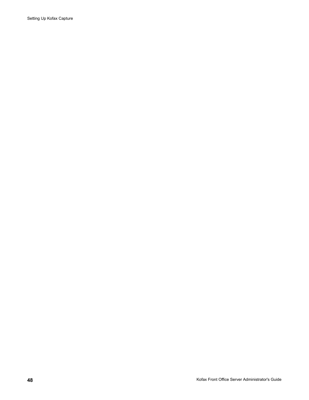Setting Up Kofax Capture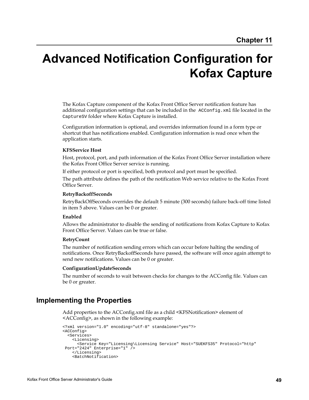# <span id="page-48-0"></span>**Advanced Notification Configuration for Kofax Capture**

The Kofax Capture component of the Kofax Front Office Server notification feature has additional configuration settings that can be included in the ACConfig.xml file located in the CaptureSV folder where Kofax Capture is installed.

Configuration information is optional, and overrides information found in a form type or shortcut that has notifications enabled. Configuration information is read once when the application starts.

#### **KFSService Host**

Host, protocol, port, and path information of the Kofax Front Office Server installation where the Kofax Front Office Server service is running.

If either protocol or port is specified, both protocol and port must be specified.

The path attribute defines the path of the notification Web service relative to the Kofax Front Office Server.

#### **RetryBackoffSeconds**

RetryBackOffSeconds overrides the default 5 minute (300 seconds) failure back-off time listed in item 5 above. Values can be 0 or greater.

#### **Enabled**

Allows the administrator to disable the sending of notifications from Kofax Capture to Kofax Front Office Server. Values can be true or false.

#### **RetryCount**

The number of notification sending errors which can occur before halting the sending of notifications. Once RetryBackoffSeconds have passed, the software will once again attempt to send new notifications. Values can be 0 or greater.

#### **ConfigurationUpdateSeconds**

The number of seconds to wait between checks for changes to the ACConfig file. Values can be 0 or greater.

## <span id="page-48-1"></span>**Implementing the Properties**

Add properties to the ACConfig.xml file as a child <KFSNotification> element of <ACConfig>, as shown in the following example:

```
<?xml version="1.0" encoding="utf-8" standalone="yes"?>
<ACConfig>
  <Services>
    <Licensing>
      <Service Key="Licensing\Licensing Service" Host="SUEKFS35" Protocol="http"
 Port="2424" Enterprise="1" />
    </Licensing>
    <BatchNotification>
```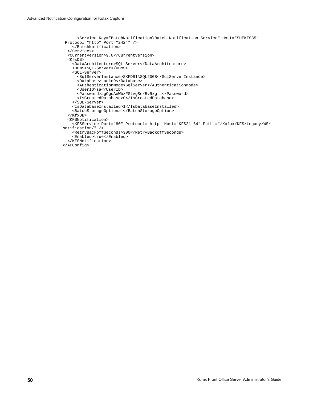```
 <Service Key="BatchNotification\Batch Notification Service" Host="SUEKFS35"
  Protocol="http" Port="2424" />
    </BatchNotification>
   </Services>
   <CurrentVersion>9.0</CurrentVersion>
   <KfxDB>
     <DataArchitecture>SQL-Server</DataArchitecture>
     <DBMS>SQL-Server</DBMS>
     <SQL-Server>
       <SqlServerInstance>SXFDB1\SQL2008</SqlServerInstance>
       <Database>suekc9</Database>
       <AuthenticationMode>SqlServer</AuthenticationMode>
       <UserID>sa</UserID>
       <Password>agOgoAeWbzFStvgSe/BvRxg==</Password>
       <IsCreatedDatabase>0</IsCreatedDatabase>
     </SQL-Server>
     <IsDatabaseInstalled>1</IsDatabaseInstalled>
     <BatchStorageOption>1</BatchStorageOption>
   </KfxDB>
   <KFSNotification>
     <KFSService Port="80" Protocol="http" Host="KFS21-64" Path ="/Kofax/KFS/Legacy/WS/
Notification/" />
     <RetryBackoffSeconds>300</RetryBackoffSeconds>
     <Enabled>true</Enabled>
   </KFSNotification>
</ACConfig>
```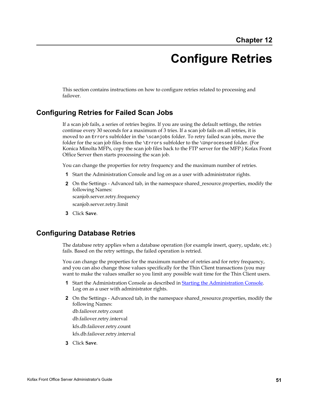# **Configure Retries**

<span id="page-50-0"></span>This section contains instructions on how to configure retries related to processing and failover.

## <span id="page-50-4"></span><span id="page-50-1"></span>**Configuring Retries for Failed Scan Jobs**

If a scan job fails, a series of retries begins. If you are using the default settings, the retries continue every 30 seconds for a maximum of 3 tries. If a scan job fails on all retries, it is moved to an Errors subfolder in the \scanjobs folder. To retry failed scan jobs, move the folder for the scan job files from the \Errors subfolder to the \Unprocessed folder. (For Konica Minolta MFPs, copy the scan job files back to the FTP server for the MFP.) Kofax Front Office Server then starts processing the scan job.

You can change the properties for retry frequency and the maximum number of retries.

- **1** Start the Administration Console and log on as a user with administrator rights.
- **2** On the Settings Advanced tab, in the namespace shared\_resource.properties, modify the following Names: scanjob.server.retry.frequency

scanjob.server.retry.limit

**3** Click **Save**.

## <span id="page-50-3"></span><span id="page-50-2"></span>**Configuring Database Retries**

The database retry applies when a database operation (for example insert, query, update, etc.) fails. Based on the retry settings, the failed operation is retried.

You can change the properties for the maximum number of retries and for retry frequency, and you can also change those values specifically for the Thin Client transactions (you may want to make the values smaller so you limit any possible wait time for the Thin Client users.

- **1** Start the Administration Console as described in [Starting the Administration Console.](#page-10-1) Log on as a user with administrator rights.
- **2** On the Settings Advanced tab, in the namespace shared\_resource.properties, modify the following Names: db.failover.retry.count db.failover.retry.interval kfs.db.failover.retry.count
	- kfs.db.failover.retry.interval
- **3** Click **Save**.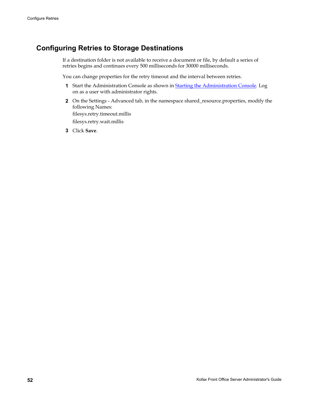# <span id="page-51-1"></span><span id="page-51-0"></span>**Configuring Retries to Storage Destinations**

If a destination folder is not available to receive a document or file, by default a series of retries begins and continues every 500 milliseconds for 30000 milliseconds.

You can change properties for the retry timeout and the interval between retries.

- **1** Start the Administration Console as shown in **Starting the Administration Console**. Log on as a user with administrator rights.
- **2** On the Settings Advanced tab, in the namespace shared\_resource.properties, modify the following Names: filesys.retry.timeout.millis filesys.retry.wait.millis
- **3** Click **Save**.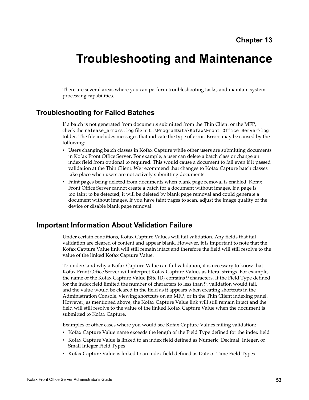# <span id="page-52-0"></span>**Troubleshooting and Maintenance**

There are several areas where you can perform troubleshooting tasks, and maintain system processing capabilities.

## <span id="page-52-3"></span><span id="page-52-1"></span>**Troubleshooting for Failed Batches**

If a batch is not generated from documents submitted from the Thin Client or the MFP, check the release\_errors.log file in C:\ProgramData\Kofax\Front Office Server\log folder. The file includes messages that indicate the type of error. Errors may be caused by the following:

- Users changing batch classes in Kofax Capture while other users are submitting documents in Kofax Front Office Server. For example, a user can delete a batch class or change an index field from optional to required. This would cause a document to fail even if it passed validation at the Thin Client. We recommend that changes to Kofax Capture batch classes take place when users are not actively submitting documents.
- Faint pages being deleted from documents when blank page removal is enabled. Kofax Front Office Server cannot create a batch for a document without images. If a page is too faint to be detected, it will be deleted by blank page removal and could generate a document without images. If you have faint pages to scan, adjust the image quality of the device or disable blank page removal.

## <span id="page-52-4"></span><span id="page-52-2"></span>**Important Information About Validation Failure**

Under certain conditions, Kofax Capture Values will fail validation. Any fields that fail validation are cleared of content and appear blank. However, it is important to note that the Kofax Capture Value link will still remain intact and therefore the field will still resolve to the value of the linked Kofax Capture Value.

To understand why a Kofax Capture Value can fail validation, it is necessary to know that Kofax Front Office Server will interpret Kofax Capture Values as literal strings. For example, the name of the Kofax Capture Value {Site ID} contains 9 characters. If the Field Type defined for the index field limited the number of characters to less than 9, validation would fail, and the value would be cleared in the field as it appears when creating shortcuts in the Administration Console, viewing shortcuts on an MFP, or in the Thin Client indexing panel. However, as mentioned above, the Kofax Capture Value link will still remain intact and the field will still resolve to the value of the linked Kofax Capture Value when the document is submitted to Kofax Capture.

Examples of other cases where you would see Kofax Capture Values failing validation:

- Kofax Capture Value name exceeds the length of the Field Type defined for the index field
- Kofax Capture Value is linked to an index field defined as Numeric, Decimal, Integer, or Small Integer Field Types
- Kofax Capture Value is linked to an index field defined as Date or Time Field Types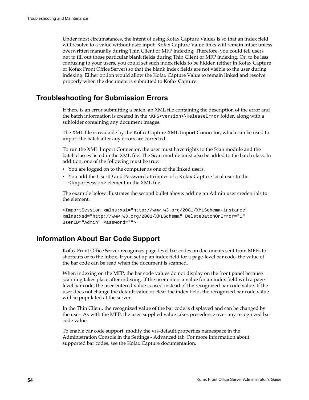Under most circumstances, the intent of using Kofax Capture Values is so that an index field will resolve to a value without user input. Kofax Capture Value links will remain intact unless overwritten manually during Thin Client or MFP indexing. Therefore, you could tell users not to fill out those particular blank fields during Thin Client or MFP indexing. Or, to be less confusing to your users, you could set such index fields to be hidden (either in Kofax Capture or Kofax Front Office Server) so that the blank index fields are not visible to the user during indexing. Either option would allow the Kofax Capture Value to remain linked and resolve properly when the document is submitted to Kofax Capture.

# <span id="page-53-0"></span>**Troubleshooting for Submission Errors**

If there is an error submitting a batch, an XML file containing the description of the error and the batch information is created in the \KFS<version>\ReleaseError folder, along with a subfolder containing any document images.

The XML file is readable by the Kofax Capture XML Import Connector, which can be used to import the batch after any errors are corrected.

To run the XML Import Connector, the user must have rights to the Scan module and the batch classes listed in the XML file. The Scan module must also be added to the batch class. In addition, one of the following must be true:

- You are logged on to the computer as one of the linked users.
- You add the UserID and Password attributes of a Kofax Capture local user to the <ImportSession> element in the XML file.

The example below illustrates the second bullet above: adding an Admin user credentials to the element.

```
<ImportSession xmlns:xsi="http://www.w3.org/2001/XMLSchema-instance"
xmlns:xsd="http://www.w3.org/2001/XMLSchema" DeleteBatchOnError="1"
UserID="Admin" Password="">
```
## <span id="page-53-2"></span><span id="page-53-1"></span>**Information About Bar Code Support**

Kofax Front Office Server recognizes page-level bar codes on documents sent from MFPs to shortcuts or to the Inbox. If you set up an index field for a page-level bar code, the value of the bar code can be read when the document is scanned.

When indexing on the MFP, the bar code values do not display on the front panel because scanning takes place after indexing. If the user enters a value for an index field with a pagelevel bar code, the user-entered value is used instead of the recognized bar code value. If the user does not change the default value or clear the index field, the recognized bar code value will be populated at the server.

In the Thin Client, the recognized value of the bar code is displayed and can be changed by the user. As with the MFP, the user-supplied value takes precedence over any recognized bar code value.

To enable bar code support, modify the vrs-default.properties namespace in the Administration Console in the Settings - Advanced tab. For more information about supported bar codes, see the Kofax Capture documentation.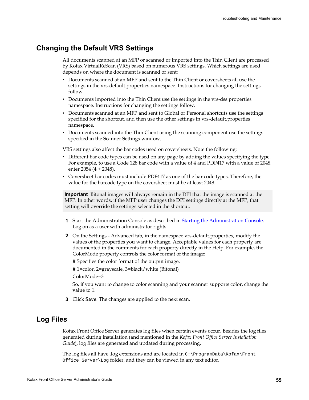# <span id="page-54-3"></span><span id="page-54-0"></span>**Changing the Default VRS Settings**

All documents scanned at an MFP or scanned or imported into the Thin Client are processed by Kofax VirtualReScan (VRS) based on numerous VRS settings. Which settings are used depends on where the document is scanned or sent:

- Documents scanned at an MFP and sent to the Thin Client or coversheets all use the settings in the vrs-default.properties namespace. Instructions for changing the settings follow.
- Documents imported into the Thin Client use the settings in the vrs-dss.properties namespace. Instructions for changing the settings follow.
- Documents scanned at an MFP and sent to Global or Personal shortcuts use the settings specified for the shortcut, and then use the other settings in vrs-default.properties namespace.
- Documents scanned into the Thin Client using the scanning component use the settings specified in the Scanner Settings window.

VRS settings also affect the bar codes used on coversheets. Note the following:

- Different bar code types can be used on any page by adding the values specifying the type. For example, to use a Code 128 bar code with a value of 4 and PDF417 with a value of 2048, enter 2054 (4 + 2048).
- Coversheet bar codes must include PDF417 as one of the bar code types. Therefore, the value for the barcode type on the coversheet must be at least 2048.

**Important** Bitonal images will always remain in the DPI that the image is scanned at the MFP. In other words, if the MFP user changes the DPI settings directly at the MFP, that setting will override the settings selected in the shortcut.

- **1** Start the Administration Console as described in [Starting the Administration Console.](#page-10-1) Log on as a user with administrator rights.
- **2** On the Settings Advanced tab, in the namespace vrs-default.properties, modify the values of the properties you want to change. Acceptable values for each property are documented in the comments for each property directly in the Help. For example, the ColorMode property controls the color format of the image:

# Specifies the color format of the output image.

# 1=color, 2=grayscale, 3=black/white (Bitonal)

ColorMode=3

So, if you want to change to color scanning and your scanner supports color, change the value to 1.

**3** Click **Save**. The changes are applied to the next scan.

## <span id="page-54-2"></span><span id="page-54-1"></span>**Log Files**

Kofax Front Office Server generates log files when certain events occur. Besides the log files generated during installation (and mentioned in the *Kofax Front Office Server Installation Guide*), log files are generated and updated during processing.

The log files all have .log extensions and are located in C:\ProgramData\Kofax\Front Office Server\Log folder, and they can be viewed in any text editor.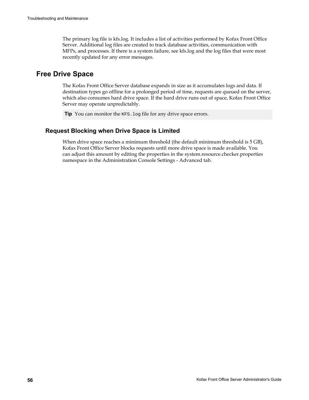The primary log file is kfs.log. It includes a list of activities performed by Kofax Front Office Server. Additional log files are created to track database activities, communication with MFPs, and processes. If there is a system failure, see kfs.log and the log files that were most recently updated for any error messages.

# <span id="page-55-2"></span><span id="page-55-0"></span>**Free Drive Space**

The Kofax Front Office Server database expands in size as it accumulates logs and data. If destination types go offline for a prolonged period of time, requests are queued on the server, which also consumes hard drive space. If the hard drive runs out of space, Kofax Front Office Server may operate unpredictably.

**Tip** You can monitor the KFS. log file for any drive space errors.

### <span id="page-55-1"></span>**Request Blocking when Drive Space is Limited**

When drive space reaches a minimum threshold (the default minimum threshold is 5 GB), Kofax Front Office Server blocks requests until more drive space is made available. You can adjust this amount by editing the properties in the system.resource.checker.properties namespace in the Administration Console Settings - Advanced tab.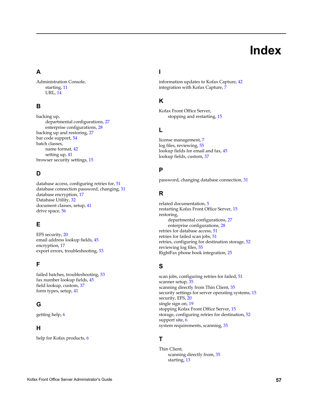# **Index**

## <span id="page-56-0"></span>**A**

Administration Console, starting, [11](#page-10-2) URL, [14](#page-13-1)

## **B**

backing up, departmental configurations, [27](#page-26-3) enterprise configurations, [28](#page-27-2) backing up and restoring, [27](#page-26-4) bar code support, [54](#page-53-2) batch classes, name format, [42](#page-41-1) setting up, [41](#page-40-3) browser security settings, [15](#page-14-2)

# **D**

database access, configuring retries for, [51](#page-50-3) database connection password, changing, [31](#page-30-3) database encryption, [17](#page-16-1) Database Utility, [32](#page-31-1) document classes, setup, [41](#page-40-3) drive space, [56](#page-55-2)

# **E**

EFS security, [20](#page-19-2) email address lookup fields, [45](#page-44-2) encryption, [17](#page-16-1) export errors, troubleshooting, [53](#page-52-3)

## **F**

failed batches, troubleshooting, [53](#page-52-3) fax number lookup fields, [45](#page-44-2) field lookup, custom, [37](#page-36-2) form types, setup, [41](#page-40-3)

# **G**

getting help, [6](#page-5-2)

## **H**

help for Kofax products, [6](#page-5-2)

## **I**

information updates to Kofax Capture, [42](#page-41-1) integration with Kofax Capture, [7](#page-6-4)

# **K**

Kofax Front Office Server, stopping and restarting, [15](#page-14-3)

# **L**

license management, [7](#page-6-4) log files, reviewing, [55](#page-54-2) lookup fields for email and fax, [45](#page-44-2) lookup fields, custom, [37](#page-36-2)

### **P**

password, changing database connection, [31](#page-30-3)

## **R**

related documentation, [5](#page-4-2) restarting Kofax Front Office Server, [15](#page-14-4) restoring, departmental configurations, [27](#page-26-5) enterprise configurations, [28](#page-27-3) retries for database access, [51](#page-50-3) retries for failed scan jobs, [51](#page-50-4) retries, configuring for destination storage, [52](#page-51-1) reviewing log files, [55](#page-54-2) RightFax phone book integration, [25](#page-24-1)

## **S**

scan jobs, configuring retries for failed, [51](#page-50-4) scanner setup, [35](#page-34-2) scanning directly from Thin Client, [35](#page-34-2) security settings for server operating systems, [15](#page-14-2) security, EFS, [20](#page-19-2) single sign on, [19](#page-18-3) stopping Kofax Front Office Server, [15](#page-14-4) storage, configuring retries for destination, [52](#page-51-1) support site, [6](#page-5-2) system requirements, scanning, [35](#page-34-2)

## **T**

Thin Client, scanning directly from, [35](#page-34-2) starting, [13](#page-12-1)